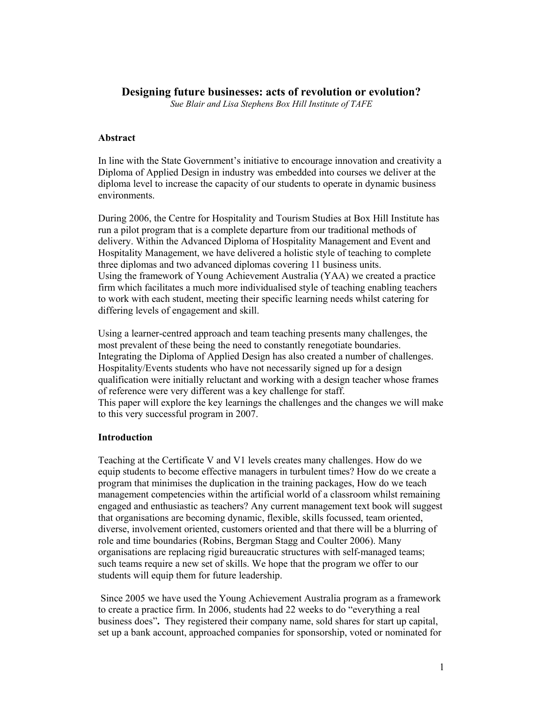# **Designing future businesses: acts of revolution or evolution?**

*Sue Blair and Lisa Stephens Box Hill Institute of TAFE* 

### **Abstract**

In line with the State Government's initiative to encourage innovation and creativity a Diploma of Applied Design in industry was embedded into courses we deliver at the diploma level to increase the capacity of our students to operate in dynamic business environments.

During 2006, the Centre for Hospitality and Tourism Studies at Box Hill Institute has run a pilot program that is a complete departure from our traditional methods of delivery. Within the Advanced Diploma of Hospitality Management and Event and Hospitality Management, we have delivered a holistic style of teaching to complete three diplomas and two advanced diplomas covering 11 business units. Using the framework of Young Achievement Australia (YAA) we created a practice firm which facilitates a much more individualised style of teaching enabling teachers to work with each student, meeting their specific learning needs whilst catering for differing levels of engagement and skill.

Using a learner-centred approach and team teaching presents many challenges, the most prevalent of these being the need to constantly renegotiate boundaries. Integrating the Diploma of Applied Design has also created a number of challenges. Hospitality/Events students who have not necessarily signed up for a design qualification were initially reluctant and working with a design teacher whose frames of reference were very different was a key challenge for staff. This paper will explore the key learnings the challenges and the changes we will make to this very successful program in 2007.

#### **Introduction**

Teaching at the Certificate V and V1 levels creates many challenges. How do we equip students to become effective managers in turbulent times? How do we create a program that minimises the duplication in the training packages, How do we teach management competencies within the artificial world of a classroom whilst remaining engaged and enthusiastic as teachers? Any current management text book will suggest that organisations are becoming dynamic, flexible, skills focussed, team oriented, diverse, involvement oriented, customers oriented and that there will be a blurring of role and time boundaries (Robins, Bergman Stagg and Coulter 2006). Many organisations are replacing rigid bureaucratic structures with self-managed teams; such teams require a new set of skills. We hope that the program we offer to our students will equip them for future leadership.

 Since 2005 we have used the Young Achievement Australia program as a framework to create a practice firm. In 2006, students had 22 weeks to do "everything a real business does"**.** They registered their company name, sold shares for start up capital, set up a bank account, approached companies for sponsorship, voted or nominated for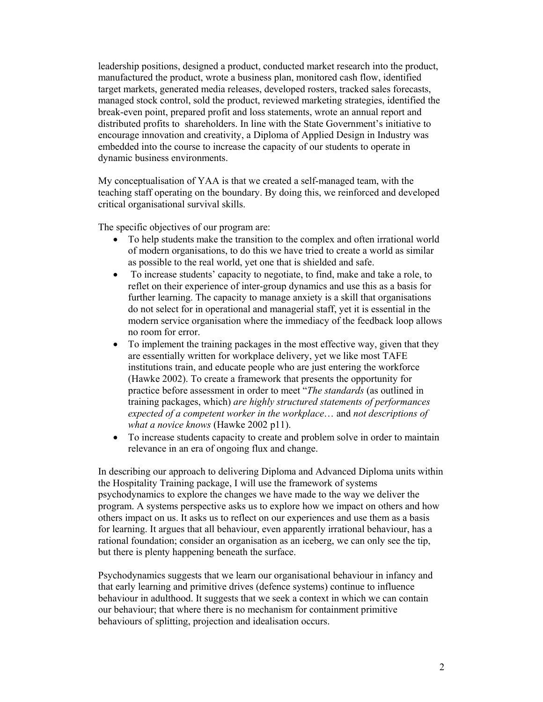leadership positions, designed a product, conducted market research into the product, manufactured the product, wrote a business plan, monitored cash flow, identified target markets, generated media releases, developed rosters, tracked sales forecasts, managed stock control, sold the product, reviewed marketing strategies, identified the break-even point, prepared profit and loss statements, wrote an annual report and distributed profits to shareholders. In line with the State Government's initiative to encourage innovation and creativity, a Diploma of Applied Design in Industry was embedded into the course to increase the capacity of our students to operate in dynamic business environments.

My conceptualisation of YAA is that we created a self-managed team, with the teaching staff operating on the boundary. By doing this, we reinforced and developed critical organisational survival skills.

The specific objectives of our program are:

- To help students make the transition to the complex and often irrational world of modern organisations, to do this we have tried to create a world as similar as possible to the real world, yet one that is shielded and safe.
- To increase students' capacity to negotiate, to find, make and take a role, to reflet on their experience of inter-group dynamics and use this as a basis for further learning. The capacity to manage anxiety is a skill that organisations do not select for in operational and managerial staff, yet it is essential in the modern service organisation where the immediacy of the feedback loop allows no room for error.
- To implement the training packages in the most effective way, given that they are essentially written for workplace delivery, yet we like most TAFE institutions train, and educate people who are just entering the workforce (Hawke 2002). To create a framework that presents the opportunity for practice before assessment in order to meet "*The standards* (as outlined in training packages, which) *are highly structured statements of performances expected of a competent worker in the workplace*… and *not descriptions of what a novice knows* (Hawke 2002 p11).
- To increase students capacity to create and problem solve in order to maintain relevance in an era of ongoing flux and change.

In describing our approach to delivering Diploma and Advanced Diploma units within the Hospitality Training package, I will use the framework of systems psychodynamics to explore the changes we have made to the way we deliver the program. A systems perspective asks us to explore how we impact on others and how others impact on us. It asks us to reflect on our experiences and use them as a basis for learning. It argues that all behaviour, even apparently irrational behaviour, has a rational foundation; consider an organisation as an iceberg, we can only see the tip, but there is plenty happening beneath the surface.

Psychodynamics suggests that we learn our organisational behaviour in infancy and that early learning and primitive drives (defence systems) continue to influence behaviour in adulthood. It suggests that we seek a context in which we can contain our behaviour; that where there is no mechanism for containment primitive behaviours of splitting, projection and idealisation occurs.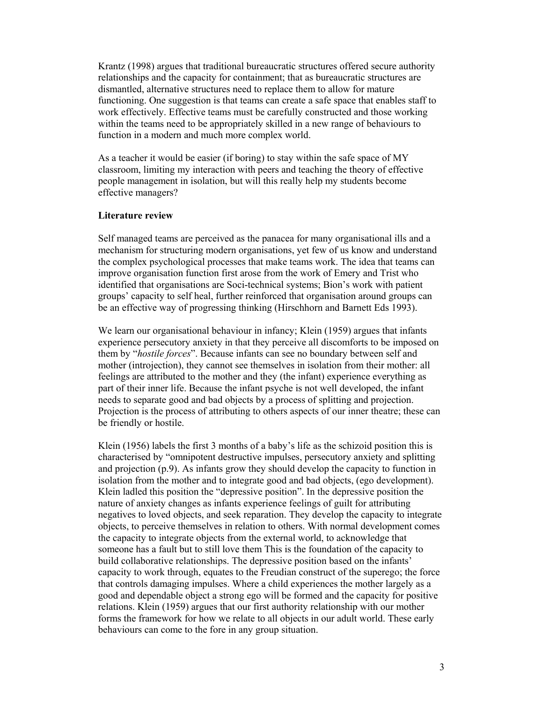Krantz (1998) argues that traditional bureaucratic structures offered secure authority relationships and the capacity for containment; that as bureaucratic structures are dismantled, alternative structures need to replace them to allow for mature functioning. One suggestion is that teams can create a safe space that enables staff to work effectively. Effective teams must be carefully constructed and those working within the teams need to be appropriately skilled in a new range of behaviours to function in a modern and much more complex world.

As a teacher it would be easier (if boring) to stay within the safe space of MY classroom, limiting my interaction with peers and teaching the theory of effective people management in isolation, but will this really help my students become effective managers?

### **Literature review**

Self managed teams are perceived as the panacea for many organisational ills and a mechanism for structuring modern organisations, yet few of us know and understand the complex psychological processes that make teams work. The idea that teams can improve organisation function first arose from the work of Emery and Trist who identified that organisations are Soci-technical systems; Bion's work with patient groups' capacity to self heal, further reinforced that organisation around groups can be an effective way of progressing thinking (Hirschhorn and Barnett Eds 1993).

We learn our organisational behaviour in infancy; Klein (1959) argues that infants experience persecutory anxiety in that they perceive all discomforts to be imposed on them by "*hostile forces*". Because infants can see no boundary between self and mother (introjection), they cannot see themselves in isolation from their mother: all feelings are attributed to the mother and they (the infant) experience everything as part of their inner life. Because the infant psyche is not well developed, the infant needs to separate good and bad objects by a process of splitting and projection. Projection is the process of attributing to others aspects of our inner theatre; these can be friendly or hostile.

Klein (1956) labels the first 3 months of a baby's life as the schizoid position this is characterised by "omnipotent destructive impulses, persecutory anxiety and splitting and projection (p.9). As infants grow they should develop the capacity to function in isolation from the mother and to integrate good and bad objects, (ego development). Klein ladled this position the "depressive position". In the depressive position the nature of anxiety changes as infants experience feelings of guilt for attributing negatives to loved objects, and seek reparation. They develop the capacity to integrate objects, to perceive themselves in relation to others. With normal development comes the capacity to integrate objects from the external world, to acknowledge that someone has a fault but to still love them This is the foundation of the capacity to build collaborative relationships. The depressive position based on the infants' capacity to work through, equates to the Freudian construct of the superego; the force that controls damaging impulses. Where a child experiences the mother largely as a good and dependable object a strong ego will be formed and the capacity for positive relations. Klein (1959) argues that our first authority relationship with our mother forms the framework for how we relate to all objects in our adult world. These early behaviours can come to the fore in any group situation.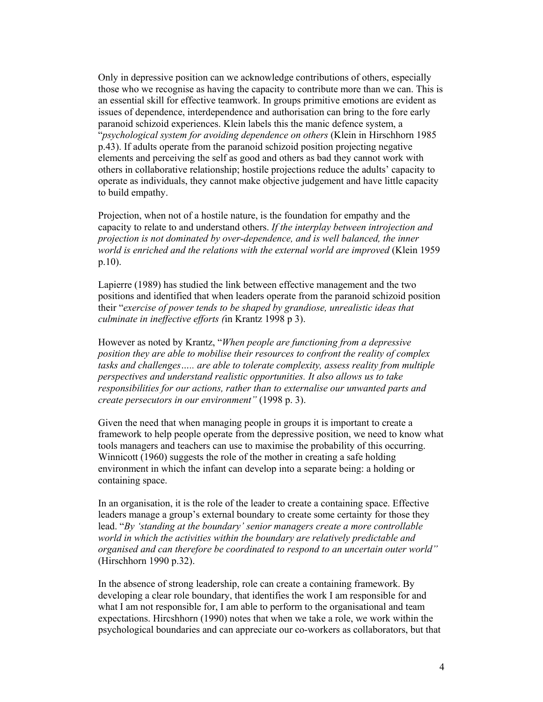Only in depressive position can we acknowledge contributions of others, especially those who we recognise as having the capacity to contribute more than we can. This is an essential skill for effective teamwork. In groups primitive emotions are evident as issues of dependence, interdependence and authorisation can bring to the fore early paranoid schizoid experiences. Klein labels this the manic defence system, a "*psychological system for avoiding dependence on others* (Klein in Hirschhorn 1985 p.43). If adults operate from the paranoid schizoid position projecting negative elements and perceiving the self as good and others as bad they cannot work with others in collaborative relationship; hostile projections reduce the adults' capacity to operate as individuals, they cannot make objective judgement and have little capacity to build empathy.

Projection, when not of a hostile nature, is the foundation for empathy and the capacity to relate to and understand others. *If the interplay between introjection and projection is not dominated by over-dependence, and is well balanced, the inner world is enriched and the relations with the external world are improved* (Klein 1959 p.10).

Lapierre (1989) has studied the link between effective management and the two positions and identified that when leaders operate from the paranoid schizoid position their "*exercise of power tends to be shaped by grandiose, unrealistic ideas that culminate in ineffective efforts (*in Krantz 1998 p 3).

However as noted by Krantz, "*When people are functioning from a depressive position they are able to mobilise their resources to confront the reality of complex tasks and challenges….. are able to tolerate complexity, assess reality from multiple perspectives and understand realistic opportunities. It also allows us to take responsibilities for our actions, rather than to externalise our unwanted parts and create persecutors in our environment"* (1998 p. 3).

Given the need that when managing people in groups it is important to create a framework to help people operate from the depressive position, we need to know what tools managers and teachers can use to maximise the probability of this occurring. Winnicott (1960) suggests the role of the mother in creating a safe holding environment in which the infant can develop into a separate being: a holding or containing space.

In an organisation, it is the role of the leader to create a containing space. Effective leaders manage a group's external boundary to create some certainty for those they lead. "*By 'standing at the boundary' senior managers create a more controllable world in which the activities within the boundary are relatively predictable and organised and can therefore be coordinated to respond to an uncertain outer world"*  (Hirschhorn 1990 p.32).

In the absence of strong leadership, role can create a containing framework. By developing a clear role boundary, that identifies the work I am responsible for and what I am not responsible for, I am able to perform to the organisational and team expectations. Hircshhorn (1990) notes that when we take a role, we work within the psychological boundaries and can appreciate our co-workers as collaborators, but that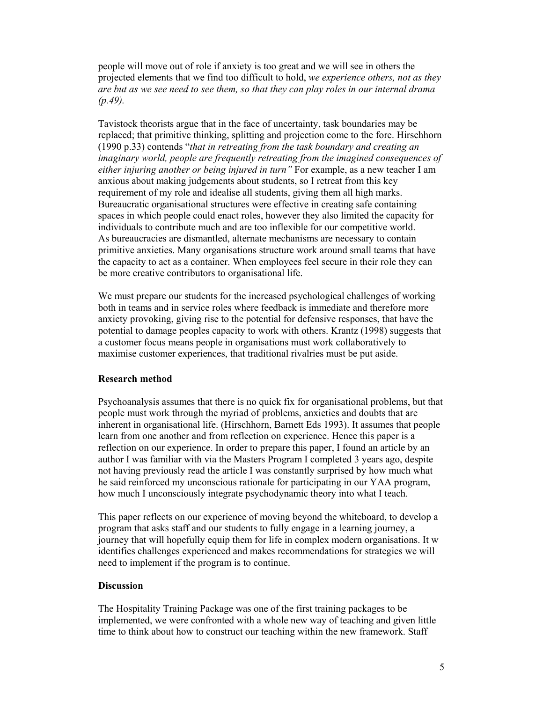people will move out of role if anxiety is too great and we will see in others the projected elements that we find too difficult to hold, *we experience others, not as they are but as we see need to see them, so that they can play roles in our internal drama (p.49).* 

Tavistock theorists argue that in the face of uncertainty, task boundaries may be replaced; that primitive thinking, splitting and projection come to the fore. Hirschhorn (1990 p.33) contends "*that in retreating from the task boundary and creating an imaginary world, people are frequently retreating from the imagined consequences of either injuring another or being injured in turn"* For example, as a new teacher I am anxious about making judgements about students, so I retreat from this key requirement of my role and idealise all students, giving them all high marks. Bureaucratic organisational structures were effective in creating safe containing spaces in which people could enact roles, however they also limited the capacity for individuals to contribute much and are too inflexible for our competitive world. As bureaucracies are dismantled, alternate mechanisms are necessary to contain primitive anxieties. Many organisations structure work around small teams that have the capacity to act as a container. When employees feel secure in their role they can be more creative contributors to organisational life.

We must prepare our students for the increased psychological challenges of working both in teams and in service roles where feedback is immediate and therefore more anxiety provoking, giving rise to the potential for defensive responses, that have the potential to damage peoples capacity to work with others. Krantz (1998) suggests that a customer focus means people in organisations must work collaboratively to maximise customer experiences, that traditional rivalries must be put aside.

#### **Research method**

Psychoanalysis assumes that there is no quick fix for organisational problems, but that people must work through the myriad of problems, anxieties and doubts that are inherent in organisational life. (Hirschhorn, Barnett Eds 1993). It assumes that people learn from one another and from reflection on experience. Hence this paper is a reflection on our experience. In order to prepare this paper, I found an article by an author I was familiar with via the Masters Program I completed 3 years ago, despite not having previously read the article I was constantly surprised by how much what he said reinforced my unconscious rationale for participating in our YAA program, how much I unconsciously integrate psychodynamic theory into what I teach.

This paper reflects on our experience of moving beyond the whiteboard, to develop a program that asks staff and our students to fully engage in a learning journey, a journey that will hopefully equip them for life in complex modern organisations. It w identifies challenges experienced and makes recommendations for strategies we will need to implement if the program is to continue.

## **Discussion**

The Hospitality Training Package was one of the first training packages to be implemented, we were confronted with a whole new way of teaching and given little time to think about how to construct our teaching within the new framework. Staff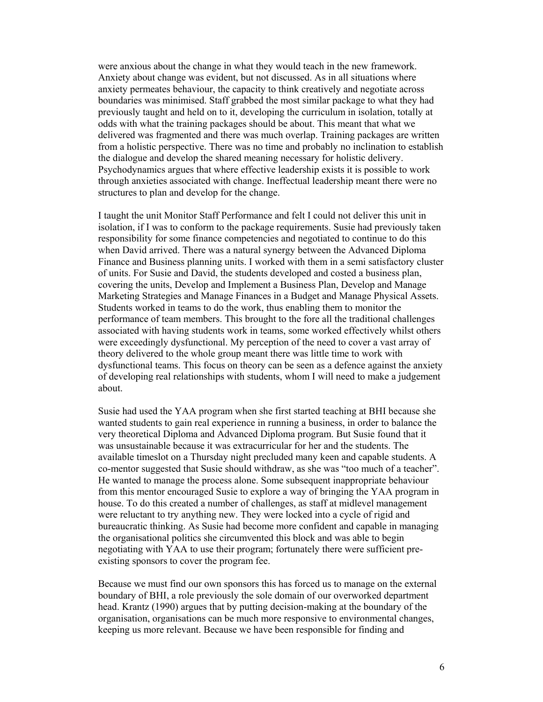were anxious about the change in what they would teach in the new framework. Anxiety about change was evident, but not discussed. As in all situations where anxiety permeates behaviour, the capacity to think creatively and negotiate across boundaries was minimised. Staff grabbed the most similar package to what they had previously taught and held on to it, developing the curriculum in isolation, totally at odds with what the training packages should be about. This meant that what we delivered was fragmented and there was much overlap. Training packages are written from a holistic perspective. There was no time and probably no inclination to establish the dialogue and develop the shared meaning necessary for holistic delivery. Psychodynamics argues that where effective leadership exists it is possible to work through anxieties associated with change. Ineffectual leadership meant there were no structures to plan and develop for the change.

I taught the unit Monitor Staff Performance and felt I could not deliver this unit in isolation, if I was to conform to the package requirements. Susie had previously taken responsibility for some finance competencies and negotiated to continue to do this when David arrived. There was a natural synergy between the Advanced Diploma Finance and Business planning units. I worked with them in a semi satisfactory cluster of units. For Susie and David, the students developed and costed a business plan, covering the units, Develop and Implement a Business Plan, Develop and Manage Marketing Strategies and Manage Finances in a Budget and Manage Physical Assets. Students worked in teams to do the work, thus enabling them to monitor the performance of team members. This brought to the fore all the traditional challenges associated with having students work in teams, some worked effectively whilst others were exceedingly dysfunctional. My perception of the need to cover a vast array of theory delivered to the whole group meant there was little time to work with dysfunctional teams. This focus on theory can be seen as a defence against the anxiety of developing real relationships with students, whom I will need to make a judgement about.

Susie had used the YAA program when she first started teaching at BHI because she wanted students to gain real experience in running a business, in order to balance the very theoretical Diploma and Advanced Diploma program. But Susie found that it was unsustainable because it was extracurricular for her and the students. The available timeslot on a Thursday night precluded many keen and capable students. A co-mentor suggested that Susie should withdraw, as she was "too much of a teacher". He wanted to manage the process alone. Some subsequent inappropriate behaviour from this mentor encouraged Susie to explore a way of bringing the YAA program in house. To do this created a number of challenges, as staff at midlevel management were reluctant to try anything new. They were locked into a cycle of rigid and bureaucratic thinking. As Susie had become more confident and capable in managing the organisational politics she circumvented this block and was able to begin negotiating with YAA to use their program; fortunately there were sufficient preexisting sponsors to cover the program fee.

Because we must find our own sponsors this has forced us to manage on the external boundary of BHI, a role previously the sole domain of our overworked department head. Krantz (1990) argues that by putting decision-making at the boundary of the organisation, organisations can be much more responsive to environmental changes, keeping us more relevant. Because we have been responsible for finding and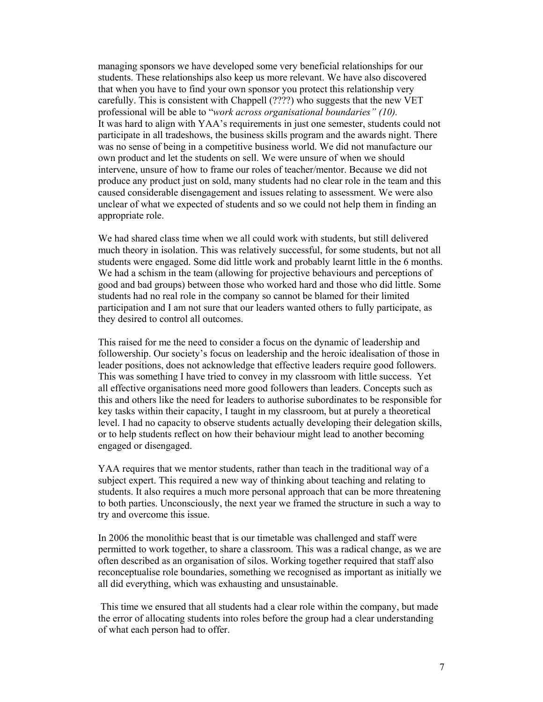managing sponsors we have developed some very beneficial relationships for our students. These relationships also keep us more relevant. We have also discovered that when you have to find your own sponsor you protect this relationship very carefully. This is consistent with Chappell (????) who suggests that the new VET professional will be able to "*work across organisational boundaries" (10).*  It was hard to align with YAA's requirements in just one semester, students could not participate in all tradeshows, the business skills program and the awards night. There was no sense of being in a competitive business world. We did not manufacture our own product and let the students on sell. We were unsure of when we should intervene, unsure of how to frame our roles of teacher/mentor. Because we did not produce any product just on sold, many students had no clear role in the team and this caused considerable disengagement and issues relating to assessment. We were also unclear of what we expected of students and so we could not help them in finding an appropriate role.

We had shared class time when we all could work with students, but still delivered much theory in isolation. This was relatively successful, for some students, but not all students were engaged. Some did little work and probably learnt little in the 6 months. We had a schism in the team (allowing for projective behaviours and perceptions of good and bad groups) between those who worked hard and those who did little. Some students had no real role in the company so cannot be blamed for their limited participation and I am not sure that our leaders wanted others to fully participate, as they desired to control all outcomes.

This raised for me the need to consider a focus on the dynamic of leadership and followership. Our society's focus on leadership and the heroic idealisation of those in leader positions, does not acknowledge that effective leaders require good followers. This was something I have tried to convey in my classroom with little success. Yet all effective organisations need more good followers than leaders. Concepts such as this and others like the need for leaders to authorise subordinates to be responsible for key tasks within their capacity, I taught in my classroom, but at purely a theoretical level. I had no capacity to observe students actually developing their delegation skills, or to help students reflect on how their behaviour might lead to another becoming engaged or disengaged.

YAA requires that we mentor students, rather than teach in the traditional way of a subject expert. This required a new way of thinking about teaching and relating to students. It also requires a much more personal approach that can be more threatening to both parties. Unconsciously, the next year we framed the structure in such a way to try and overcome this issue.

In 2006 the monolithic beast that is our timetable was challenged and staff were permitted to work together, to share a classroom. This was a radical change, as we are often described as an organisation of silos. Working together required that staff also reconceptualise role boundaries, something we recognised as important as initially we all did everything, which was exhausting and unsustainable.

 This time we ensured that all students had a clear role within the company, but made the error of allocating students into roles before the group had a clear understanding of what each person had to offer.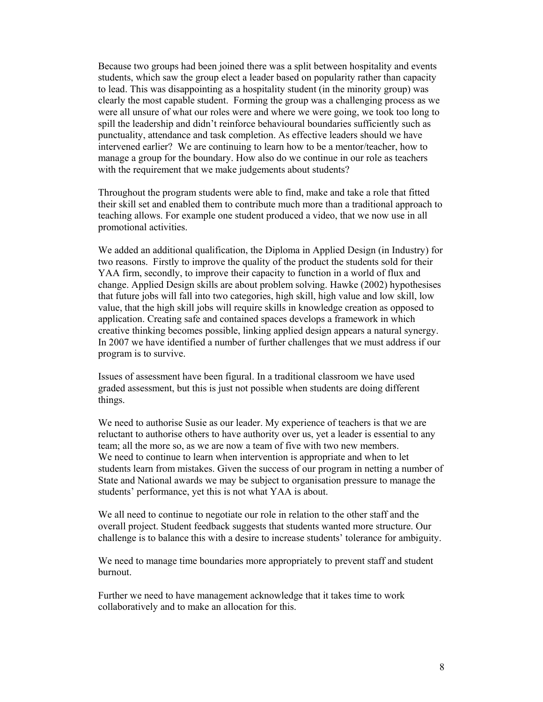Because two groups had been joined there was a split between hospitality and events students, which saw the group elect a leader based on popularity rather than capacity to lead. This was disappointing as a hospitality student (in the minority group) was clearly the most capable student. Forming the group was a challenging process as we were all unsure of what our roles were and where we were going, we took too long to spill the leadership and didn't reinforce behavioural boundaries sufficiently such as punctuality, attendance and task completion. As effective leaders should we have intervened earlier? We are continuing to learn how to be a mentor/teacher, how to manage a group for the boundary. How also do we continue in our role as teachers with the requirement that we make judgements about students?

Throughout the program students were able to find, make and take a role that fitted their skill set and enabled them to contribute much more than a traditional approach to teaching allows. For example one student produced a video, that we now use in all promotional activities.

We added an additional qualification, the Diploma in Applied Design (in Industry) for two reasons. Firstly to improve the quality of the product the students sold for their YAA firm, secondly, to improve their capacity to function in a world of flux and change. Applied Design skills are about problem solving. Hawke (2002) hypothesises that future jobs will fall into two categories, high skill, high value and low skill, low value, that the high skill jobs will require skills in knowledge creation as opposed to application. Creating safe and contained spaces develops a framework in which creative thinking becomes possible, linking applied design appears a natural synergy. In 2007 we have identified a number of further challenges that we must address if our program is to survive.

Issues of assessment have been figural. In a traditional classroom we have used graded assessment, but this is just not possible when students are doing different things.

We need to authorise Susie as our leader. My experience of teachers is that we are reluctant to authorise others to have authority over us, yet a leader is essential to any team; all the more so, as we are now a team of five with two new members. We need to continue to learn when intervention is appropriate and when to let students learn from mistakes. Given the success of our program in netting a number of State and National awards we may be subject to organisation pressure to manage the students' performance, yet this is not what YAA is about.

We all need to continue to negotiate our role in relation to the other staff and the overall project. Student feedback suggests that students wanted more structure. Our challenge is to balance this with a desire to increase students' tolerance for ambiguity.

We need to manage time boundaries more appropriately to prevent staff and student burnout.

Further we need to have management acknowledge that it takes time to work collaboratively and to make an allocation for this.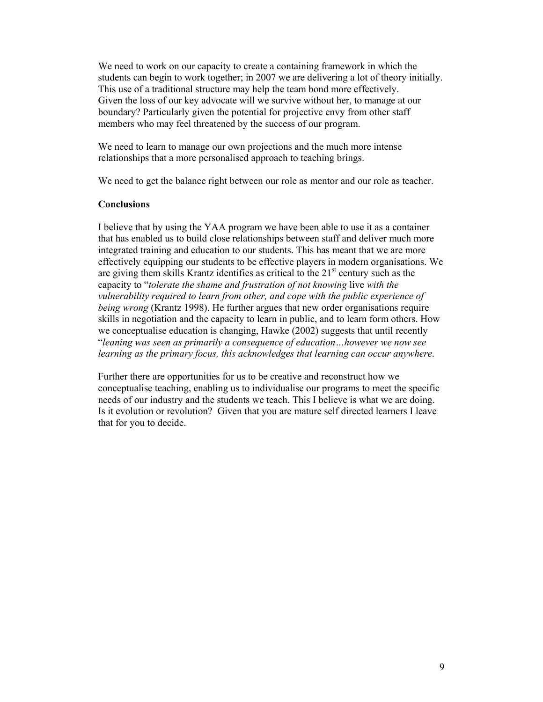We need to work on our capacity to create a containing framework in which the students can begin to work together; in 2007 we are delivering a lot of theory initially. This use of a traditional structure may help the team bond more effectively. Given the loss of our key advocate will we survive without her, to manage at our boundary? Particularly given the potential for projective envy from other staff members who may feel threatened by the success of our program.

We need to learn to manage our own projections and the much more intense relationships that a more personalised approach to teaching brings.

We need to get the balance right between our role as mentor and our role as teacher.

## **Conclusions**

I believe that by using the YAA program we have been able to use it as a container that has enabled us to build close relationships between staff and deliver much more integrated training and education to our students. This has meant that we are more effectively equipping our students to be effective players in modern organisations. We are giving them skills Krantz identifies as critical to the  $21<sup>st</sup>$  century such as the capacity to "*tolerate the shame and frustration of not knowing* live *with the vulnerability required to learn from other, and cope with the public experience of being wrong* (Krantz 1998). He further argues that new order organisations require skills in negotiation and the capacity to learn in public, and to learn form others. How we conceptualise education is changing, Hawke (2002) suggests that until recently "*leaning was seen as primarily a consequence of education…however we now see learning as the primary focus, this acknowledges that learning can occur anywhere*.

Further there are opportunities for us to be creative and reconstruct how we conceptualise teaching, enabling us to individualise our programs to meet the specific needs of our industry and the students we teach. This I believe is what we are doing. Is it evolution or revolution? Given that you are mature self directed learners I leave that for you to decide.